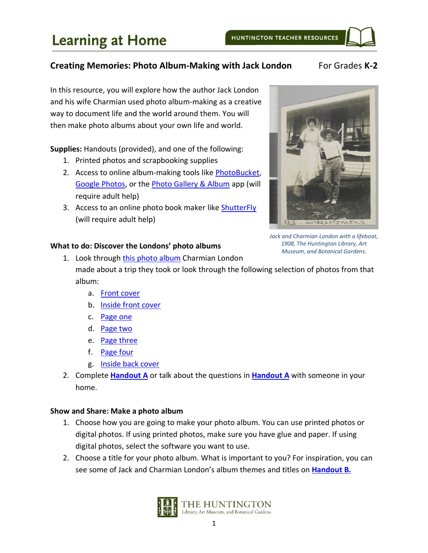### **Creating Memories: Photo Album-Making with Jack London For Grades K-2**

In this resource, you will explore how the author Jack London and his wife Charmian used photo album-making as a creative way to document life and the world around them. You will then make photo albums about your own life and world.

**Supplies:** Handouts (provided), and one of the following:

- 1. Printed photos and scrapbooking supplies
- 2. Access to online album-making tools like [PhotoBucket,](https://photobucket.com/) [Google Photos,](https://photos.google.com/) or the [Photo Gallery & Album](https://play.google.com/store/apps/details?id=photo.album.galleryvault.photogallery&hl=en_US) app (will require adult help)
- 3. Access to an online photo book maker like [ShutterFly](https://www.shutterfly.com/) (will require adult help)



*Jack and Charmian London with a lifeboat, 1908, The Huntington Library, Art Museum, and Botanical Gardens.*

### **What to do: Discover the Londons' photo albums**

- 1. Look through [this photo album](https://hdl.huntington.org/digital/collection/p16003coll7/id/5223/rec/1) Charmian London made about a trip they took or look through the following selection of photos from that album:
	- a. [Front cover](https://hdl.huntington.org/digital/collection/p16003coll7/id/5223)
	- b. [Inside front cover](https://hdl.huntington.org/digital/collection/p16003coll7/id/5224)
	- c. [Page one](https://hdl.huntington.org/digital/collection/p16003coll7/id/5225)
	- d. [Page two](https://hdl.huntington.org/digital/collection/p16003coll7/id/5226)
	- e. [Page three](https://hdl.huntington.org/digital/collection/p16003coll7/id/5227)
	- f. [Page four](https://hdl.huntington.org/digital/collection/p16003coll7/id/5228)
	- g. [Inside back cover](https://hdl.huntington.org/digital/collection/p16003coll7/id/5323)
- 2. Complete **[Handout A](#page-1-0)** or talk about the questions in **[Handout A](#page-1-0)** with someone in your home.

### **Show and Share: Make a photo album**

- 1. Choose how you are going to make your photo album. You can use printed photos or digital photos. If using printed photos, make sure you have glue and paper. If using digital photos, select the software you want to use.
- 2. Choose a title for your photo album. What is important to you? For inspiration, you can see some of Jack and Charmian London's album themes and titles on **[Handout B.](#page-3-0)**

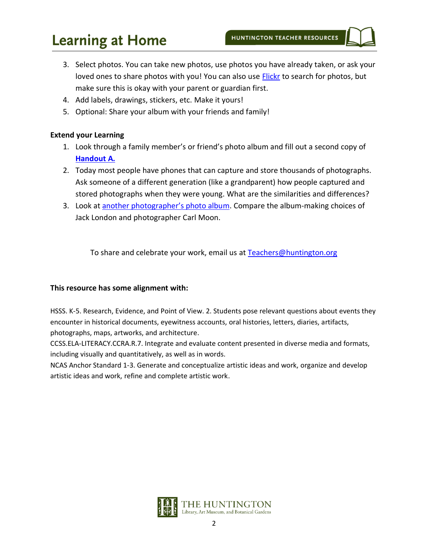# **Learning at Home**

- 3. Select photos. You can take new photos, use photos you have already taken, or ask your loved ones to share photos with you! You can also use **Flickr** to search for photos, but make sure this is okay with your parent or guardian first.
- 4. Add labels, drawings, stickers, etc. Make it yours!
- 5. Optional: Share your album with your friends and family!

### **Extend your Learning**

- 1. Look through a family member's or friend's photo album and fill out a second copy of **[Handout A.](#page-1-0)**
- 2. Today most people have phones that can capture and store thousands of photographs. Ask someone of a different generation (like a grandparent) how people captured and stored photographs when they were young. What are the similarities and differences?
- 3. Look at [another photographer's photo album](https://hdl.huntington.org/digital/collection/p15150coll2/id/7723/rec/1). Compare the album-making choices of Jack London and photographer Carl Moon.

To share and celebrate your work, email us at [Teachers@huntington.org](mailto:teachers@huntington.org)

### **This resource has some alignment with:**

HSSS. K-5. Research, Evidence, and Point of View. 2. Students pose relevant questions about events they encounter in historical documents, eyewitness accounts, oral histories, letters, diaries, artifacts, photographs, maps, artworks, and architecture.

CCSS.ELA-LITERACY.CCRA.R.7. Integrate and evaluate content presented in diverse media and formats, including visually and quantitatively, as well as in words.

<span id="page-1-0"></span>NCAS Anchor Standard 1-3. Generate and conceptualize artistic ideas and work, organize and develop artistic ideas and work, refine and complete artistic work.

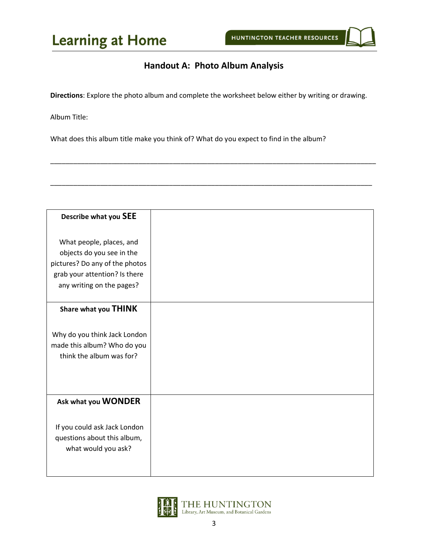### **Handout A: Photo Album Analysis**

**Directions**: Explore the photo album and complete the worksheet below either by writing or drawing.

\_\_\_\_\_\_\_\_\_\_\_\_\_\_\_\_\_\_\_\_\_\_\_\_\_\_\_\_\_\_\_\_\_\_\_\_\_\_\_\_\_\_\_\_\_\_\_\_\_\_\_\_\_\_\_\_\_\_\_\_\_\_\_\_\_\_\_\_\_\_\_\_\_\_\_\_\_\_\_\_\_\_\_\_\_

\_\_\_\_\_\_\_\_\_\_\_\_\_\_\_\_\_\_\_\_\_\_\_\_\_\_\_\_\_\_\_\_\_\_\_\_\_\_\_\_\_\_\_\_\_\_\_\_\_\_\_\_\_\_\_\_\_\_\_\_\_\_\_\_\_\_\_\_\_\_\_\_\_\_\_\_\_\_\_\_\_\_\_\_

Album Title:

What does this album title make you think of? What do you expect to find in the album?

| Describe what you SEE          |  |
|--------------------------------|--|
|                                |  |
| What people, places, and       |  |
| objects do you see in the      |  |
| pictures? Do any of the photos |  |
| grab your attention? Is there  |  |
| any writing on the pages?      |  |
|                                |  |
| Share what you THINK           |  |
|                                |  |
| Why do you think Jack London   |  |
| made this album? Who do you    |  |
| think the album was for?       |  |
|                                |  |
|                                |  |
|                                |  |
| Ask what you WONDER            |  |
|                                |  |
| If you could ask Jack London   |  |
| questions about this album,    |  |
| what would you ask?            |  |
|                                |  |
|                                |  |